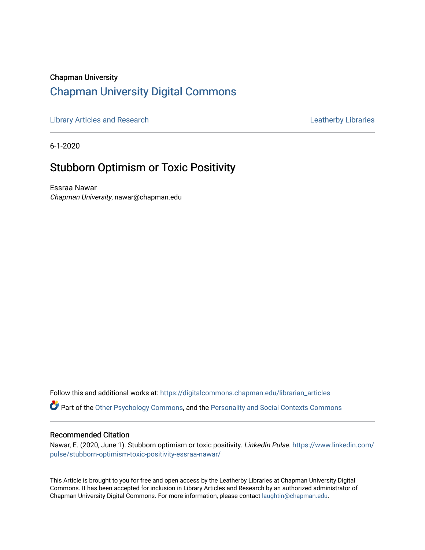## Chapman University [Chapman University Digital Commons](https://digitalcommons.chapman.edu/)

[Library Articles and Research](https://digitalcommons.chapman.edu/librarian_articles) **Libraries** Leatherby Libraries

6-1-2020

## Stubborn Optimism or Toxic Positivity

Essraa Nawar Chapman University, nawar@chapman.edu

Follow this and additional works at: [https://digitalcommons.chapman.edu/librarian\\_articles](https://digitalcommons.chapman.edu/librarian_articles?utm_source=digitalcommons.chapman.edu%2Flibrarian_articles%2F29&utm_medium=PDF&utm_campaign=PDFCoverPages) 

Part of the [Other Psychology Commons,](http://network.bepress.com/hgg/discipline/415?utm_source=digitalcommons.chapman.edu%2Flibrarian_articles%2F29&utm_medium=PDF&utm_campaign=PDFCoverPages) and the [Personality and Social Contexts Commons](http://network.bepress.com/hgg/discipline/413?utm_source=digitalcommons.chapman.edu%2Flibrarian_articles%2F29&utm_medium=PDF&utm_campaign=PDFCoverPages) 

#### Recommended Citation

Nawar, E. (2020, June 1). Stubborn optimism or toxic positivity. LinkedIn Pulse. [https://www.linkedin.com/](https://www.linkedin.com/pulse/stubborn-optimism-toxic-positivity-essraa-nawar/) [pulse/stubborn-optimism-toxic-positivity-essraa-nawar/](https://www.linkedin.com/pulse/stubborn-optimism-toxic-positivity-essraa-nawar/)

This Article is brought to you for free and open access by the Leatherby Libraries at Chapman University Digital Commons. It has been accepted for inclusion in Library Articles and Research by an authorized administrator of Chapman University Digital Commons. For more information, please contact [laughtin@chapman.edu](mailto:laughtin@chapman.edu).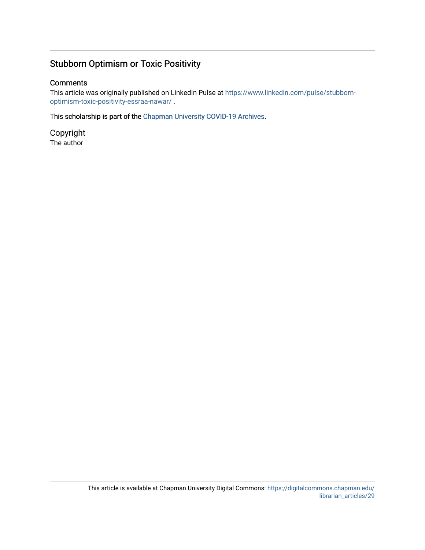### Stubborn Optimism or Toxic Positivity

#### **Comments**

This article was originally published on LinkedIn Pulse at [https://www.linkedin.com/pulse/stubborn](https://www.linkedin.com/pulse/stubborn-optimism-toxic-positivity-essraa-nawar/)[optimism-toxic-positivity-essraa-nawar/](https://www.linkedin.com/pulse/stubborn-optimism-toxic-positivity-essraa-nawar/) .

This scholarship is part of the [Chapman University COVID-19 Archives](https://digitalcommons.chapman.edu/covid-19_archives/).

Copyright The author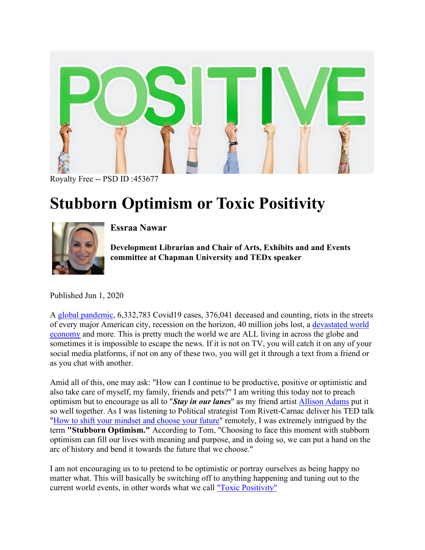

Royalty Free -- PSD ID :453677

# **Stubborn Optimism or Toxic Positivity**



**Essraa Nawar** 

**Development Librarian and Chair of Arts, Exhibits and and Events committee at Chapman University and TEDx speaker** 

Published Jun 1, 2020

A [global pandemic,](https://ncov2019.live/data) 6,332,783 Covid19 cases, 376,041 deceased and counting, riots in the streets of every major American city, recession on the horizon, 40 million jobs lost, a [devastated world](https://www.foxbusiness.com/economy/coronavirus-great-recession-great-depression)  [economy](https://www.foxbusiness.com/economy/coronavirus-great-recession-great-depression) and more. This is pretty much the world we are ALL living in across the globe and sometimes it is impossible to escape the news. If it is not on TV, you will catch it on any of your social media platforms, if not on any of these two, you will get it through a text from a friend or as you chat with another.

Amid all of this, one may ask: "How can I continue to be productive, positive or optimistic and also take care of myself, my family, friends and pets?" I am writing this today not to preach optimism but to encourage us all to "*Stay in our lanes*" as my friend artist [Allison Adams](https://www.groundbreakinggirls.com/) put it so well together. As I was listening to Political strategist Tom Rivett-Carnac deliver his TED talk ["How to shift your mindset and choose your future"](https://www.ted.com/talks/tom_rivett_carnac_how_to_shift_your_mindset_and_choose_your_future/transcript) remotely, I was extremely intrigued by the term **"Stubborn Optimism."** According to Tom, "Choosing to face this moment with stubborn optimism can fill our lives with meaning and purpose, and in doing so, we can put a hand on the arc of history and bend it towards the future that we choose."

I am not encouraging us to to pretend to be optimistic or portray ourselves as being happy no matter what. This will basically be switching off to anything happening and tuning out to the current world events, in other words what we call ["Toxic Positivity"](https://thetab.com/uk/2020/02/19/toxic-positivity-culture-meaning-140567)